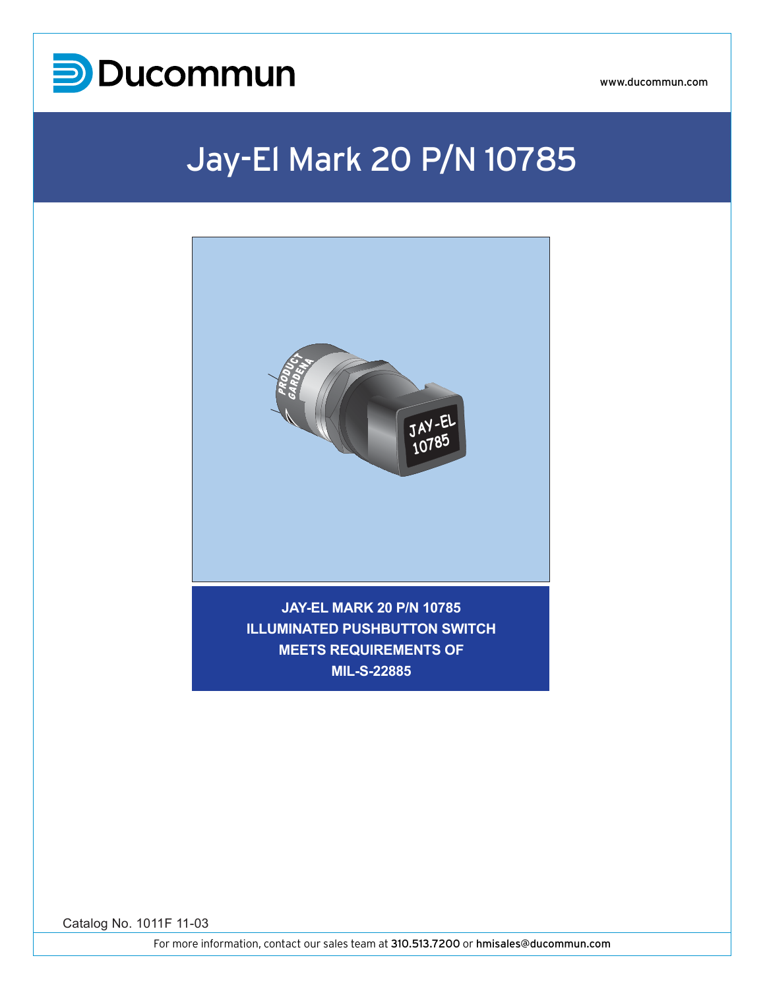

www.ducommun.com

## Jay-El Mark 20 P/N 10785



**MIL-S-22885**

Catalog No. 1011F 11-03

For more information, contact our sales team at 310.513.7200 or hmisales@ducommun.com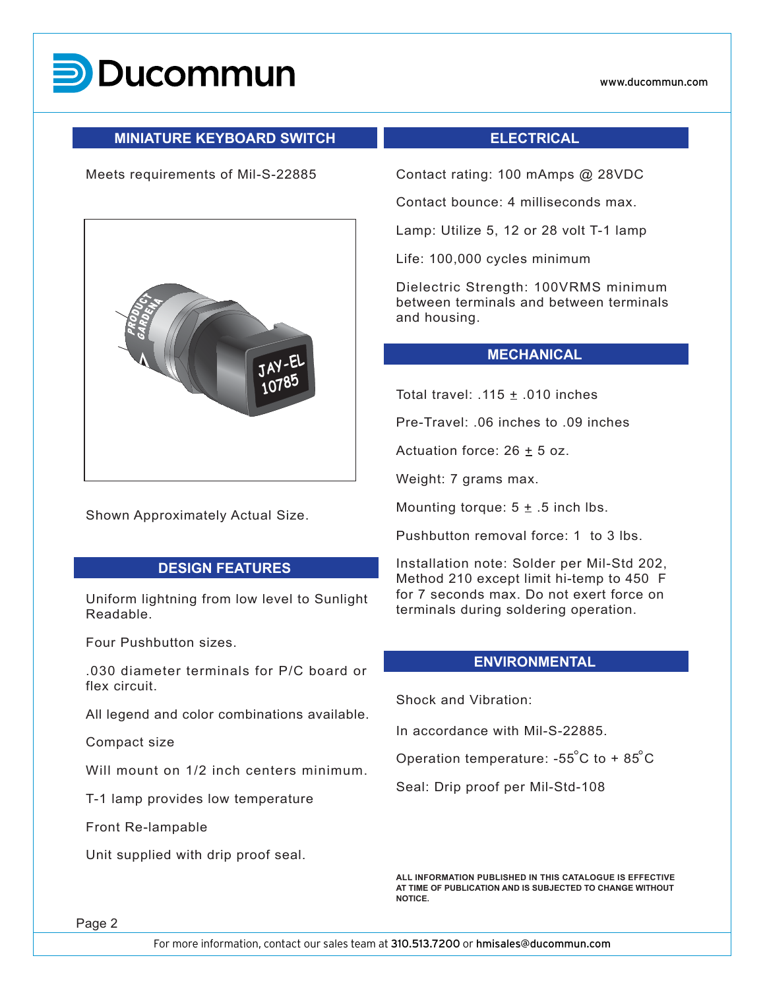

#### **MINIATURE KEYBOARD SWITCH**

#### Meets requirements of Mil-S-22885



Shown Approximately Actual Size.

### **DESIGN FEATURES**

Uniform lightning from low level to Sunlight Readable.

Four Pushbutton sizes.

.030 diameter terminals for P/C board or flex circuit.

All legend and color combinations available.

Compact size

Will mount on 1/2 inch centers minimum.

T-1 lamp provides low temperature

Front Re-lampable

Unit supplied with drip proof seal.

#### **ELECTRICAL**

Contact rating: 100 mAmps @ 28VDC

Contact bounce: 4 milliseconds max.

Lamp: Utilize 5, 12 or 28 volt T-1 lamp

Life: 100,000 cycles minimum

Dielectric Strength: 100VRMS minimum between terminals and between terminals and housing.

#### **MECHANICAL**

Total travel:  $.115 \pm .010$  inches

Pre-Travel: .06 inches to .09 inches

Actuation force:  $26 \pm 5$  oz.

Weight: 7 grams max.

Mounting torque:  $5 \pm .5$  inch lbs.

Pushbutton removal force: 1 to 3 lbs.

Installation note: Solder per Mil-Std 202, Method 210 except limit hi-temp to 450 F for 7 seconds max. Do not exert force on terminals during soldering operation.

#### **ENVIRONMENTAL**

Shock and Vibration:

In accordance with Mil-S-22885.

Operation temperature: -55°C to +  $85^{\circ}$ C

Seal: Drip proof per Mil-Std-108

**ALL INFORMATION PUBLISHED IN THIS CATALOGUE IS EFFECTIVE AT TIME OF PUBLICATION AND IS SUBJECTED TO CHANGE WITHOUT NOTICE.**

Page 2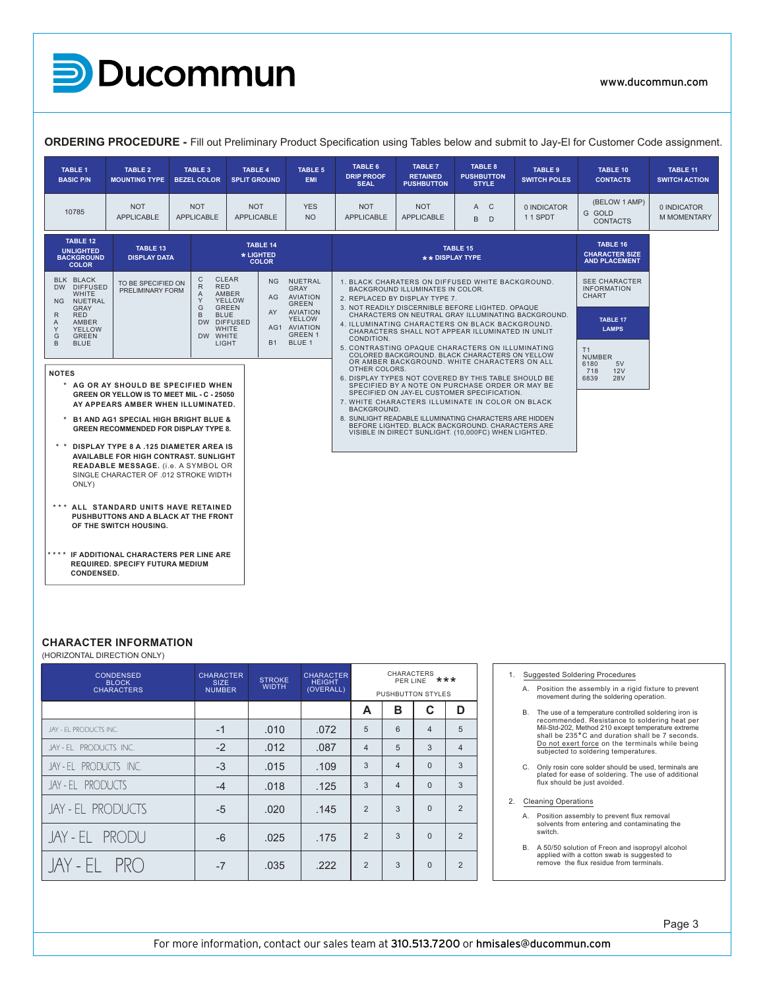**D**Ducommun

www.ducommun.com

| $\rightarrow$ POSSITION $\blacksquare$                                                                                                                                       |                                                                  |                                                                                                                                                                         |                                                                          |                                                                    |                                                        |                            |                                                                                                                                                                     |                                                     |                                                                                                                                            | www.ducommun.com                 |
|------------------------------------------------------------------------------------------------------------------------------------------------------------------------------|------------------------------------------------------------------|-------------------------------------------------------------------------------------------------------------------------------------------------------------------------|--------------------------------------------------------------------------|--------------------------------------------------------------------|--------------------------------------------------------|----------------------------|---------------------------------------------------------------------------------------------------------------------------------------------------------------------|-----------------------------------------------------|--------------------------------------------------------------------------------------------------------------------------------------------|----------------------------------|
| ORDERING PROCEDURE - Fill out Preliminary Product Specification using Tables below and submit to Jay-El for Customer Code assignment.                                        |                                                                  |                                                                                                                                                                         |                                                                          |                                                                    |                                                        |                            |                                                                                                                                                                     |                                                     |                                                                                                                                            |                                  |
| <b>TABLE 1</b><br>TABLE 2<br><b>BASIC P/N</b><br><b>MOUNTING TYPE</b>                                                                                                        | <b>TABLE 3</b><br>BEZEL COLOR SPLIT GROUND                       | <b>TABLE 4</b>                                                                                                                                                          | <b>TABLE 5</b><br>EMI                                                    | TABLE 6<br><b>DRIP PROOF</b><br><b>SEAL</b>                        | <b>TABLE 7</b><br><b>RETAINED</b><br><b>PUSHBUTTON</b> |                            | TABLE 8<br><b>PUSHBUTTON</b><br><b>STYLE</b>                                                                                                                        | TABLE 9<br><b>SWITCH POLES</b>                      | TABLE 10<br><b>CONTACTS</b>                                                                                                                | TABLE 11<br><b>SWITCH ACTION</b> |
| <b>NOT</b><br>10785<br>APPLICABLE                                                                                                                                            | <b>NOT</b><br>APPLICABLE                                         | <b>NOT</b><br>APPLICABLE                                                                                                                                                | <b>YES</b><br><b>NO</b>                                                  | <b>NOT</b><br>APPLICABLE                                           | <b>NOT</b><br>APPLICABLE                               |                            | A C<br>$\mathbf{B}$<br>$\Box$                                                                                                                                       | 0 INDICATOR<br>11 SPDT                              | (BELOW 1 AMP)<br>GOLD<br>CONTACTS                                                                                                          | 0 INDICATOR<br>M MOMENTARY       |
| TABLE 12<br>TABLE 14<br>TABLE 13<br><b>UNLIGHTED</b><br>* LIGHTED<br><b>BACKGROUND</b><br><b>DISPLAY DATA</b><br><b>COLOR</b><br><b>COLOR</b>                                |                                                                  |                                                                                                                                                                         |                                                                          | TABLE 15<br>** DISPLAY TYPE                                        |                                                        |                            |                                                                                                                                                                     |                                                     | TABLE 16<br><b>CHARACTER SIZE</b><br><b>AND PLACEMENT</b>                                                                                  |                                  |
| BLK BLACK<br>TO BE SPECIFIED ON<br>DW DIFFUSED<br>PRELIMINARY FORM<br>WHITE                                                                                                  | C CLEAR<br>RED<br>AMBER                                          | NG NUETRAL<br>AG AVIATION                                                                                                                                               | GRAY                                                                     | BACKGROUND ILLUMINATES IN COLOR.<br>2. REPLACED BY DISPLAY TYPE 7. |                                                        |                            | . BLACK CHARATERS ON DIFFUSED WHITE BACKGROUND.                                                                                                                     |                                                     | SEE CHARACTER<br><b>INFORMATION</b><br>CHART                                                                                               |                                  |
| <b>NG</b><br>NUETRAL<br>GRAY<br>RED<br>R<br>AMBER<br>$\mathsf{A}$                                                                                                            | YELLOW<br>Y.<br>G GREEN<br>B BLUE<br>DW DIFFUSED<br><b>WHITE</b> | AY AVIATION<br>AG1 AVIATION                                                                                                                                             | GREEN<br>YELLOW                                                          |                                                                    |                                                        |                            | 3. NOT READILY DISCERNIBLE BEFORE LIGHTED. OPAQUE<br>4. ILLUMINATING CHARACTERS ON BLACK BACKGROUND.                                                                | CHARACTERS ON NEUTRAL GRAY ILLUMINATING BACKGROUND. | TABLE 17                                                                                                                                   |                                  |
| Y<br>YELLOW<br>G<br>GREEN<br>$\overline{B}$<br><b>BLUE</b>                                                                                                                   | DW WHITE<br>LIGHT                                                | B1 BLUE 1                                                                                                                                                               | GREEN 1                                                                  | CONDITION.                                                         |                                                        |                            | CHARACTERS SHALL NOT APPEAR ILLUMINATED IN UNLIT<br>5. CONTRASTING OPAQUE CHARACTERS ON ILLUMINATING                                                                |                                                     | <b>LAMPS</b><br>T1<br><b>NUMBER</b>                                                                                                        |                                  |
| <b>NOTES</b><br>* AG OR AY SHOULD BE SPECIFIED WHEN                                                                                                                          |                                                                  | COLORED BACKGROUND. BLACK CHARACTERS ON YELLOW<br>OR AMBER BACKGROUND. WHITE CHARACTERS ON ALL<br>OTHER COLORS.<br>6. DISPLAY TYPES NOT COVERED BY THIS TABLE SHOULD BE |                                                                          |                                                                    |                                                        |                            | 6180<br>5V<br>718<br>12V<br>6839<br><b>28V</b>                                                                                                                      |                                                     |                                                                                                                                            |                                  |
| GREEN OR YELLOW IS TO MEET MIL - C - 25050<br>AY APPEARS AMBER WHEN ILLUMINATED.                                                                                             |                                                                  | SPECIFIED BY A NOTE ON PURCHASE ORDER OR MAY BE<br>SPECIFIED ON JAY-EL CUSTOMER SPECIFICATION.<br>7. WHITE CHARACTERS ILLUMINATE IN COLOR ON BLACK<br>BACKGROUND.       |                                                                          |                                                                    |                                                        |                            |                                                                                                                                                                     |                                                     |                                                                                                                                            |                                  |
| * B1 AND AG1 SPECIAL HIGH BRIGHT BLUE &<br>GREEN RECOMMENDED FOR DISPLAY TYPE 8.                                                                                             |                                                                  |                                                                                                                                                                         |                                                                          |                                                                    |                                                        |                            | 8. SUNLIGHT READABLE ILLUMINATING CHARACTERS ARE HIDDEN<br>BEFORE LIGHTED. BLACK BACKGROUND. CHARACTERS ARE<br>VISIBLE IN DIRECT SUNLIGHT. (10,000FC) WHEN LIGHTED. |                                                     |                                                                                                                                            |                                  |
| * * DISPLAY TYPE 8 A .125 DIAMETER AREA IS<br>AVAILABLE FOR HIGH CONTRAST. SUNLIGHT<br>READABLE MESSAGE. (i.e. A SYMBOL OR<br>SINGLE CHARACTER OF .012 STROKE WIDTH<br>ONLY) |                                                                  |                                                                                                                                                                         |                                                                          |                                                                    |                                                        |                            |                                                                                                                                                                     |                                                     |                                                                                                                                            |                                  |
| *** ALL STANDARD UNITS HAVE RETAINED<br>PUSHBUTTONS AND A BLACK AT THE FRONT<br>OF THE SWITCH HOUSING.                                                                       |                                                                  |                                                                                                                                                                         |                                                                          |                                                                    |                                                        |                            |                                                                                                                                                                     |                                                     |                                                                                                                                            |                                  |
| **** IF ADDITIONAL CHARACTERS PER LINE ARE<br>REQUIRED. SPECIFY FUTURA MEDIUM<br>CONDENSED.                                                                                  |                                                                  |                                                                                                                                                                         |                                                                          |                                                                    |                                                        |                            |                                                                                                                                                                     |                                                     |                                                                                                                                            |                                  |
| <b>CHARACTER INFORMATION</b><br>(HORIZONTAL DIRECTION ONLY)                                                                                                                  |                                                                  |                                                                                                                                                                         |                                                                          |                                                                    |                                                        |                            |                                                                                                                                                                     |                                                     |                                                                                                                                            |                                  |
| CONDENSED<br>BLOCK<br>CHARACTERS                                                                                                                                             | CHARACTER<br>SIZE<br>NUMBER                                      |                                                                                                                                                                         | <b>CHARACTER</b><br><b>STROKE</b><br>HEIGHT<br>(OVERALL)<br><b>WIDTH</b> |                                                                    |                                                        | CHARACTERS<br>PER LINE *** |                                                                                                                                                                     |                                                     | <b>Suggested Soldering Procedures</b><br>A. Position the assembly in a rigid fixture to prevent                                            |                                  |
|                                                                                                                                                                              |                                                                  |                                                                                                                                                                         |                                                                          | A                                                                  | PUSHBUTTON STYLES<br>B<br>$\mathbf c$                  |                            | D                                                                                                                                                                   |                                                     | movement during the soldering operation.<br>B. The use of a temperature controlled soldering iron is                                       |                                  |
| JAY - EL PRODUCTS INC.                                                                                                                                                       | $-1$                                                             | .010                                                                                                                                                                    | .072                                                                     | 5                                                                  | 6<br>$\overline{4}$                                    |                            | 5                                                                                                                                                                   |                                                     | recommended. Resistance to soldering heat per<br>Mil-Std-202, Method 210 except temperature extreme                                        |                                  |
| JAY-EL PRODUCTS INC.                                                                                                                                                         | $-2$                                                             | .012                                                                                                                                                                    | .087                                                                     | $\overline{4}$                                                     | 5<br>$\overline{3}$                                    |                            | $\overline{4}$                                                                                                                                                      |                                                     | shall be 235°C and duration shall be 7 seconds.<br>Do not exert force on the terminals while being<br>subjected to soldering temperatures. |                                  |
| JAY-EL PRODUCTS INC.                                                                                                                                                         | $-3$                                                             | .015                                                                                                                                                                    | .109                                                                     | $\mathbf{3}$                                                       | $\overline{0}$<br>$\overline{4}$                       |                            | 3 <sup>5</sup>                                                                                                                                                      |                                                     | C. Only rosin core solder should be used, terminals are                                                                                    |                                  |
| JAY-EL PRODUCTS                                                                                                                                                              | $-4$                                                             | .018                                                                                                                                                                    | .125                                                                     | $\mathbf{3}$                                                       | $\overline{4}$<br>$\overline{0}$                       |                            | 3                                                                                                                                                                   |                                                     | plated for ease of soldering. The use of additional<br>flux should be just avoided.                                                        |                                  |
| JAY - EL PRODUCTS                                                                                                                                                            | $-5$                                                             | .020                                                                                                                                                                    | .145                                                                     | $\overline{2}$                                                     | $3^{\circ}$<br>$\overline{0}$                          |                            | $\overline{2}$                                                                                                                                                      | 2. Cleaning Operations                              | A. Position assembly to prevent flux removal<br>solvents from entering and contaminating the                                               |                                  |
| JAY-EL PRODU                                                                                                                                                                 | $-6$                                                             | .025                                                                                                                                                                    | .175                                                                     | $\overline{2}$                                                     | $\mathbf{3}$<br>$\overline{0}$                         |                            | $\overline{2}$                                                                                                                                                      | switch.                                             | B. A 50/50 solution of Freon and isopropyl alcohol                                                                                         |                                  |
| JAY-EL PRO                                                                                                                                                                   | $-7$                                                             | .035                                                                                                                                                                    | .222                                                                     | 2                                                                  | 3<br>$\overline{0}$                                    |                            | 2                                                                                                                                                                   |                                                     | applied with a cotton swab is suggested to<br>remove the flux residue from terminals.                                                      |                                  |
|                                                                                                                                                                              |                                                                  |                                                                                                                                                                         |                                                                          |                                                                    |                                                        |                            |                                                                                                                                                                     |                                                     |                                                                                                                                            |                                  |

#### **CHARACTER INFORMATION**<br>CONTOURNED DURING THE SOLDING OF SOLDING THE SOLDERING OF SOLDING THE SOLDING OF SOLDING THE SOLDING OF SOLDING A. Position the assembly in a rigid fixture to prevent

| <b>CONDENSED</b><br><b>BLOCK</b><br><b>CHARACTERS</b> | <b>CHARACTER</b><br><b>SIZE</b><br><b>NUMBER</b> | <b>STROKE</b><br><b>WIDTH</b> | <b>CHARACTER</b><br><b>HEIGHT</b><br>(OVERALL) | CHARACTERS<br>***<br>PER LINE<br><b>PUSHBUTTON STYLES</b> |   |          |
|-------------------------------------------------------|--------------------------------------------------|-------------------------------|------------------------------------------------|-----------------------------------------------------------|---|----------|
|                                                       |                                                  |                               |                                                | A                                                         | в | C        |
| JAY - EL PRODUCTS INC.                                | $-1$                                             | .010                          | .072                                           | 5                                                         | 6 | 4        |
| JAY-EL PRODUCTS INC.                                  | $-2$                                             | .012                          | .087                                           | 4                                                         | 5 | 3        |
| JAY-EL PRODUCTS INC.                                  | $-3$                                             | .015                          | .109                                           | 3                                                         | 4 | $\Omega$ |
| JAY - EL PRODUCTS                                     | $-4$                                             | .018                          | .125                                           | 3                                                         | 4 | $\Omega$ |
| JAY - EL PRODUCTS                                     | $-5$                                             | .020                          | .145                                           | $\overline{2}$                                            | 3 | $\Omega$ |
| JAY-EL PRODU                                          | $-6$                                             | .025                          | .175                                           | $\overline{2}$                                            | 3 | $\Omega$ |
| JAY-EL PRO                                            | $-7$                                             | .035                          | .222                                           | $\overline{2}$                                            | 3 | $\Omega$ |

- 1. Suggested Soldering Procedures
	- A. Position the assembly in a rigid fixture to prevent  $\begin{array}{c} \blacksquare \\ \blacksquare \end{array}$ movement during the soldering operation.<br>
	and the control of the soldering operation.
	- B. The use of a temperature controlled soldering iron is recommended. Resistance to soldering heat per<br>Mil-Std-202, Method 210 except temperature extreme<br>shall be 235°C and duration shall be 7 seconds. Do not exert force on the terminals while being subjected to soldering temperatures.
	- C. Only rosin core solder should be used, terminals are plated for ease of soldering. The use of additional flux should be just avoided.

# 2. Cleaning Operations JAY - EL PRODUCTS INC.

- A. Position assembly to prevent flux removal solvents from entering and contaminating the switch.
- B. A 50/50 solution of Freon and isopropyl alcohol applied with a cotton swab is suggested to remove the flux residue from terminals. |<br>|<br>|<br>|<br>| ted<br>sitis<br>sitis<br>ver<br>itch<br>jole<br>plie<br>mov erati<br>sse<br>Juti<br>Juti<br>the fl derstade<br>And a voltop<br>Ting<br>Free ponts<br>Sidure Jay<br>The<br>Internse of Production<br>of Production<br>of Production<br>of Production<br>of Production<br>of Production<br>of Production<br>of Production<br>of Production<br>of Production<br>of Production<br>of Production<br>of Production<br>of Production<br>of Produc of addi<br>Ing the<br>alcord<br>alcord<br>Incorded